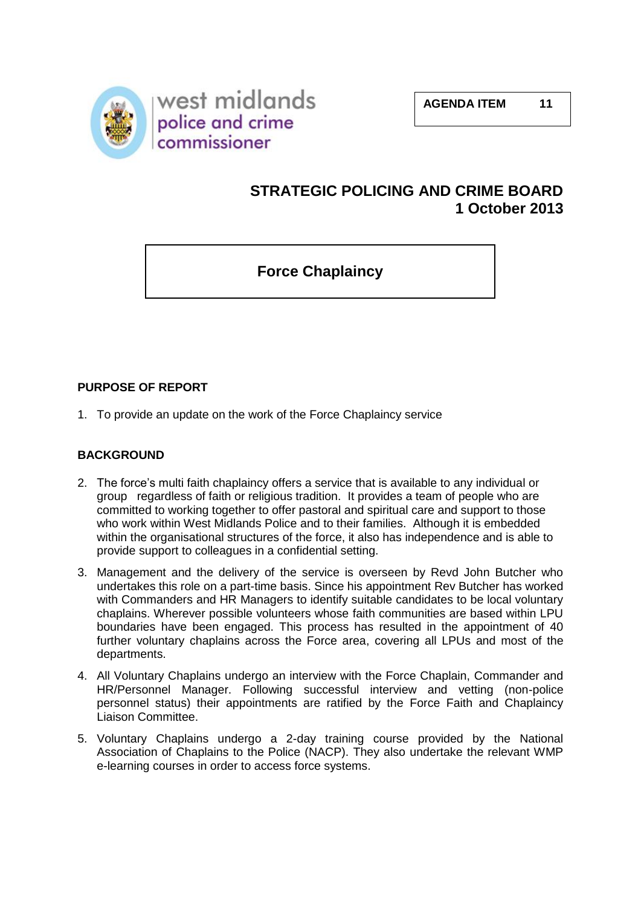

# **STRATEGIC POLICING AND CRIME BOARD 1 October 2013**

**Force Chaplaincy**

# **PURPOSE OF REPORT**

1. To provide an update on the work of the Force Chaplaincy service

## **BACKGROUND**

- 2. The force's multi faith chaplaincy offers a service that is available to any individual or group regardless of faith or religious tradition. It provides a team of people who are committed to working together to offer pastoral and spiritual care and support to those who work within West Midlands Police and to their families. Although it is embedded within the organisational structures of the force, it also has independence and is able to provide support to colleagues in a confidential setting.
- 3. Management and the delivery of the service is overseen by Revd John Butcher who undertakes this role on a part-time basis. Since his appointment Rev Butcher has worked with Commanders and HR Managers to identify suitable candidates to be local voluntary chaplains. Wherever possible volunteers whose faith communities are based within LPU boundaries have been engaged. This process has resulted in the appointment of 40 further voluntary chaplains across the Force area, covering all LPUs and most of the departments.
- 4. All Voluntary Chaplains undergo an interview with the Force Chaplain, Commander and HR/Personnel Manager. Following successful interview and vetting (non-police personnel status) their appointments are ratified by the Force Faith and Chaplaincy Liaison Committee.
- 5. Voluntary Chaplains undergo a 2-day training course provided by the National Association of Chaplains to the Police (NACP). They also undertake the relevant WMP e-learning courses in order to access force systems.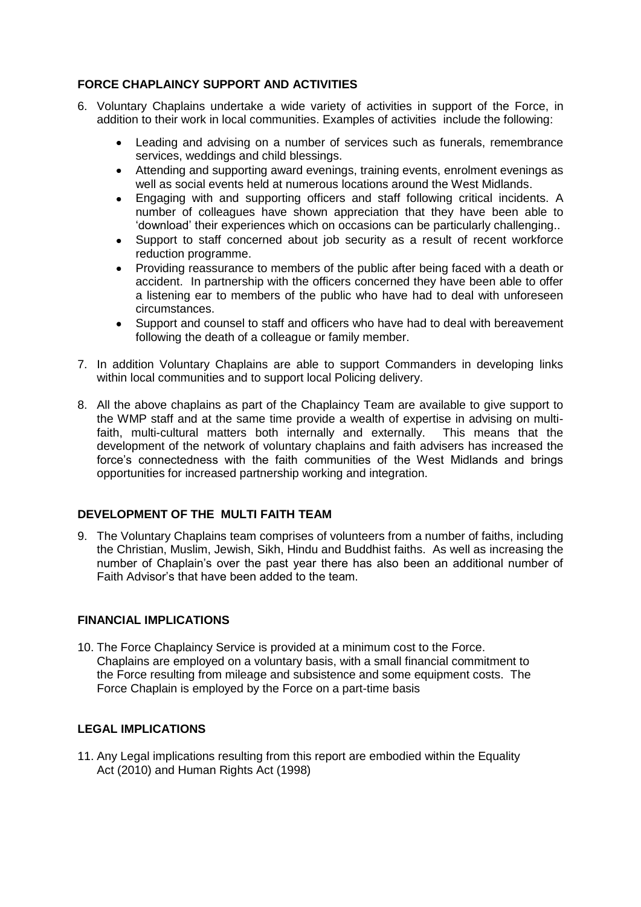## **FORCE CHAPLAINCY SUPPORT AND ACTIVITIES**

- 6. Voluntary Chaplains undertake a wide variety of activities in support of the Force, in addition to their work in local communities. Examples of activities include the following:
	- Leading and advising on a number of services such as funerals, remembrance services, weddings and child blessings.
	- $\bullet$ Attending and supporting award evenings, training events, enrolment evenings as well as social events held at numerous locations around the West Midlands.
	- Engaging with and supporting officers and staff following critical incidents. A  $\bullet$ number of colleagues have shown appreciation that they have been able to 'download' their experiences which on occasions can be particularly challenging..
	- Support to staff concerned about job security as a result of recent workforce reduction programme.
	- Providing reassurance to members of the public after being faced with a death or  $\bullet$ accident. In partnership with the officers concerned they have been able to offer a listening ear to members of the public who have had to deal with unforeseen circumstances.
	- Support and counsel to staff and officers who have had to deal with bereavement following the death of a colleague or family member.
- 7. In addition Voluntary Chaplains are able to support Commanders in developing links within local communities and to support local Policing delivery.
- 8. All the above chaplains as part of the Chaplaincy Team are available to give support to the WMP staff and at the same time provide a wealth of expertise in advising on multifaith, multi-cultural matters both internally and externally. This means that the development of the network of voluntary chaplains and faith advisers has increased the force's connectedness with the faith communities of the West Midlands and brings opportunities for increased partnership working and integration.

## **DEVELOPMENT OF THE MULTI FAITH TEAM**

9. The Voluntary Chaplains team comprises of volunteers from a number of faiths, including the Christian, Muslim, Jewish, Sikh, Hindu and Buddhist faiths. As well as increasing the number of Chaplain's over the past year there has also been an additional number of Faith Advisor's that have been added to the team.

### **FINANCIAL IMPLICATIONS**

10. The Force Chaplaincy Service is provided at a minimum cost to the Force. Chaplains are employed on a voluntary basis, with a small financial commitment to the Force resulting from mileage and subsistence and some equipment costs. The Force Chaplain is employed by the Force on a part-time basis

### **LEGAL IMPLICATIONS**

11. Any Legal implications resulting from this report are embodied within the Equality Act (2010) and Human Rights Act (1998)